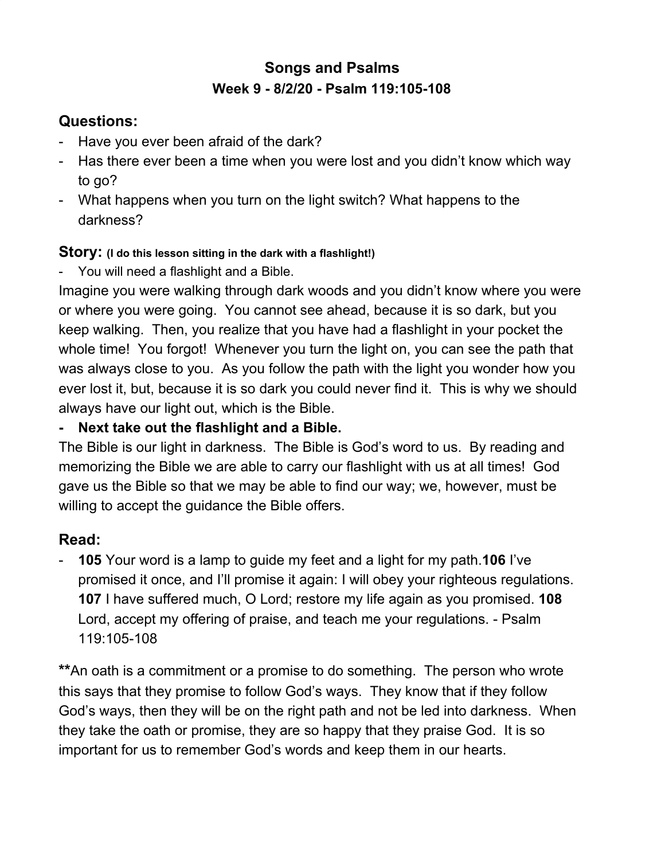# **Songs and Psalms Week 9 - 8/2/20 - Psalm 119:105-108**

## **Questions:**

- Have you ever been afraid of the dark?
- Has there ever been a time when you were lost and you didn't know which way to go?
- What happens when you turn on the light switch? What happens to the darkness?

#### **Story: (I do this lesson sitting in the dark with a flashlight!)**

You will need a flashlight and a Bible.

Imagine you were walking through dark woods and you didn't know where you were or where you were going. You cannot see ahead, because it is so dark, but you keep walking. Then, you realize that you have had a flashlight in your pocket the whole time! You forgot! Whenever you turn the light on, you can see the path that was always close to you. As you follow the path with the light you wonder how you ever lost it, but, because it is so dark you could never find it. This is why we should always have our light out, which is the Bible.

### **- Next take out the flashlight and a Bible.**

The Bible is our light in darkness. The Bible is God's word to us. By reading and memorizing the Bible we are able to carry our flashlight with us at all times! God gave us the Bible so that we may be able to find our way; we, however, must be willing to accept the guidance the Bible offers.

### **Read:**

- **105** Your word is a lamp to guide my feet and a light for my path.**106** I've promised it once, and I'll promise it again: I will obey your righteous regulations. **107** I have suffered much, O Lord; restore my life again as you promised. **108** Lord, accept my offering of praise, and teach me your regulations. - Psalm 119:105-108

**\*\***An oath is a commitment or a promise to do something. The person who wrote this says that they promise to follow God's ways. They know that if they follow God's ways, then they will be on the right path and not be led into darkness. When they take the oath or promise, they are so happy that they praise God. It is so important for us to remember God's words and keep them in our hearts.